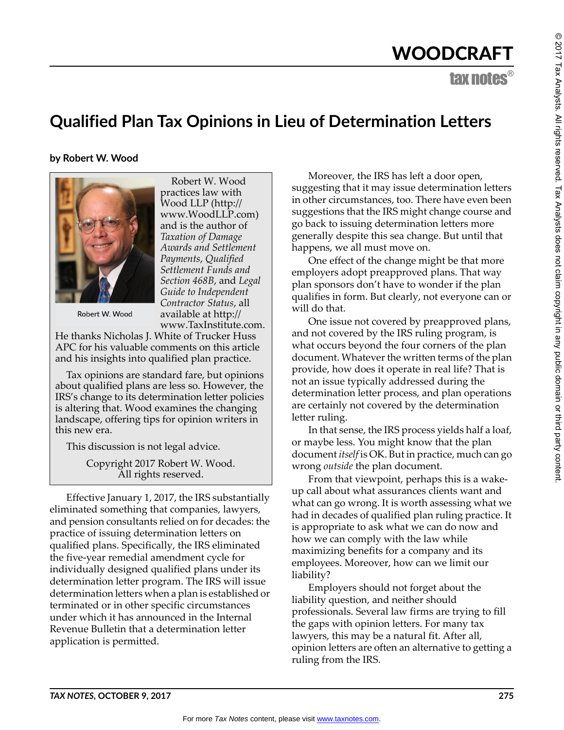# WOODCRAFT

tax notes®

# **Qualified Plan Tax Opinions in Lieu of Determination Letters**

**by Robert W. Wood**



Robert W. Wood practices law with Wood LLP (http:// www.WoodLLP.com) and is the author of *Taxation of Damage Awards and Settlement Payments*, *Qualified Settlement Funds and Section 468B*, and *Legal Guide to Independent Contractor Status*, all available at http:// www.TaxInstitute.com.

Robert W. Wood

He thanks Nicholas J. White of Trucker Huss APC for his valuable comments on this article and his insights into qualified plan practice.

Tax opinions are standard fare, but opinions about qualified plans are less so. However, the IRS's change to its determination letter policies is altering that. Wood examines the changing landscape, offering tips for opinion writers in this new era.

This discussion is not legal advice.

Copyright 2017 Robert W. Wood. All rights reserved.

Effective January 1, 2017, the IRS substantially eliminated something that companies, lawyers, and pension consultants relied on for decades: the practice of issuing determination letters on qualified plans. Specifically, the IRS eliminated the five-year remedial amendment cycle for individually designed qualified plans under its determination letter program. The IRS will issue determination letters when a plan is established or terminated or in other specific circumstances under which it has announced in the Internal Revenue Bulletin that a determination letter application is permitted.

Moreover, the IRS has left a door open, suggesting that it may issue determination letters in other circumstances, too. There have even been suggestions that the IRS might change course and go back to issuing determination letters more generally despite this sea change. But until that happens, we all must move on.

One effect of the change might be that more employers adopt preapproved plans. That way plan sponsors don't have to wonder if the plan qualifies in form. But clearly, not everyone can or will do that.

One issue not covered by preapproved plans, and not covered by the IRS ruling program, is what occurs beyond the four corners of the plan document. Whatever the written terms of the plan provide, how does it operate in real life? That is not an issue typically addressed during the determination letter process, and plan operations are certainly not covered by the determination letter ruling.

In that sense, the IRS process yields half a loaf, or maybe less. You might know that the plan document *itself* is OK. But in practice, much can go wrong *outside* the plan document.

From that viewpoint, perhaps this is a wakeup call about what assurances clients want and what can go wrong. It is worth assessing what we had in decades of qualified plan ruling practice. It is appropriate to ask what we can do now and how we can comply with the law while maximizing benefits for a company and its employees. Moreover, how can we limit our liability?

Employers should not forget about the liability question, and neither should professionals. Several law firms are trying to fill the gaps with opinion letters. For many tax lawyers, this may be a natural fit. After all, opinion letters are often an alternative to getting a ruling from the IRS.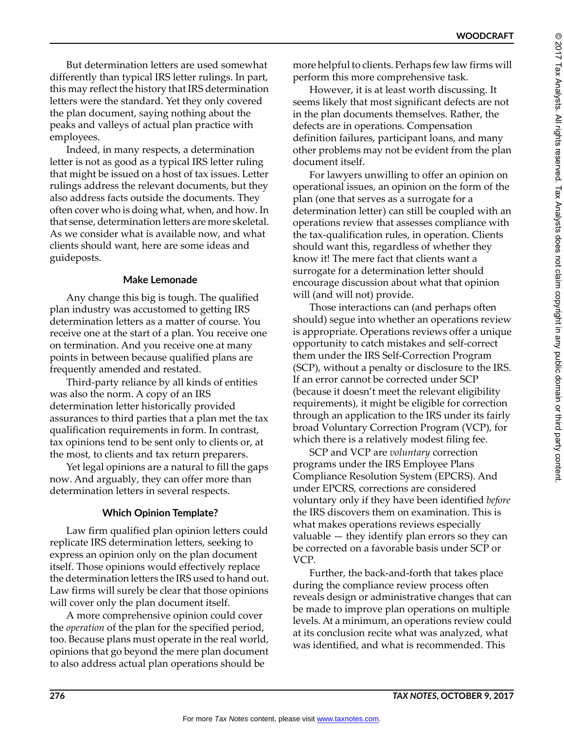But determination letters are used somewhat differently than typical IRS letter rulings. In part, this may reflect the history that IRS determination letters were the standard. Yet they only covered the plan document, saying nothing about the peaks and valleys of actual plan practice with employees.

Indeed, in many respects, a determination letter is not as good as a typical IRS letter ruling that might be issued on a host of tax issues. Letter rulings address the relevant documents, but they also address facts outside the documents. They often cover who is doing what, when, and how. In that sense, determination letters are more skeletal. As we consider what is available now, and what clients should want, here are some ideas and guideposts.

#### **Make Lemonade**

Any change this big is tough. The qualified plan industry was accustomed to getting IRS determination letters as a matter of course. You receive one at the start of a plan. You receive one on termination. And you receive one at many points in between because qualified plans are frequently amended and restated.

Third-party reliance by all kinds of entities was also the norm. A copy of an IRS determination letter historically provided assurances to third parties that a plan met the tax qualification requirements in form. In contrast, tax opinions tend to be sent only to clients or, at the most, to clients and tax return preparers.

Yet legal opinions are a natural to fill the gaps now. And arguably, they can offer more than determination letters in several respects.

### **Which Opinion Template?**

Law firm qualified plan opinion letters could replicate IRS determination letters, seeking to express an opinion only on the plan document itself. Those opinions would effectively replace the determination letters the IRS used to hand out. Law firms will surely be clear that those opinions will cover only the plan document itself.

A more comprehensive opinion could cover the *operation* of the plan for the specified period, too. Because plans must operate in the real world, opinions that go beyond the mere plan document to also address actual plan operations should be

more helpful to clients. Perhaps few law firms will perform this more comprehensive task.

However, it is at least worth discussing. It seems likely that most significant defects are not in the plan documents themselves. Rather, the defects are in operations. Compensation definition failures, participant loans, and many other problems may not be evident from the plan document itself.

For lawyers unwilling to offer an opinion on operational issues, an opinion on the form of the plan (one that serves as a surrogate for a determination letter) can still be coupled with an operations review that assesses compliance with the tax-qualification rules, in operation. Clients should want this, regardless of whether they know it! The mere fact that clients want a surrogate for a determination letter should encourage discussion about what that opinion will (and will not) provide.

Those interactions can (and perhaps often should) segue into whether an operations review is appropriate. Operations reviews offer a unique opportunity to catch mistakes and self-correct them under the IRS Self-Correction Program (SCP), without a penalty or disclosure to the IRS. If an error cannot be corrected under SCP (because it doesn't meet the relevant eligibility requirements), it might be eligible for correction through an application to the IRS under its fairly broad Voluntary Correction Program (VCP), for which there is a relatively modest filing fee.

SCP and VCP are *voluntary* correction programs under the IRS Employee Plans Compliance Resolution System (EPCRS). And under EPCRS, corrections are considered voluntary only if they have been identified *before* the IRS discovers them on examination. This is what makes operations reviews especially valuable — they identify plan errors so they can be corrected on a favorable basis under SCP or VCP.

Further, the back-and-forth that takes place during the compliance review process often reveals design or administrative changes that can be made to improve plan operations on multiple levels. At a minimum, an operations review could at its conclusion recite what was analyzed, what was identified, and what is recommended. This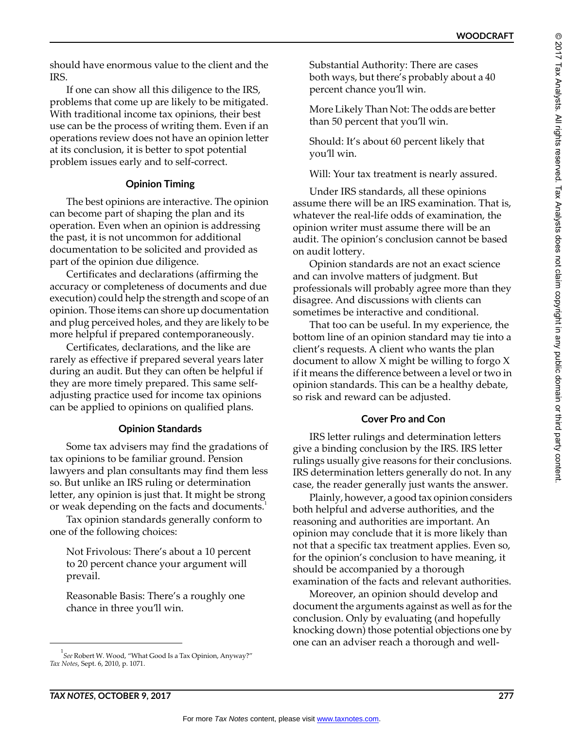should have enormous value to the client and the IRS.

If one can show all this diligence to the IRS, problems that come up are likely to be mitigated. With traditional income tax opinions, their best use can be the process of writing them. Even if an operations review does not have an opinion letter at its conclusion, it is better to spot potential problem issues early and to self-correct.

### **Opinion Timing**

The best opinions are interactive. The opinion can become part of shaping the plan and its operation. Even when an opinion is addressing the past, it is not uncommon for additional documentation to be solicited and provided as part of the opinion due diligence.

Certificates and declarations (affirming the accuracy or completeness of documents and due execution) could help the strength and scope of an opinion. Those items can shore up documentation and plug perceived holes, and they are likely to be more helpful if prepared contemporaneously.

Certificates, declarations, and the like are rarely as effective if prepared several years later during an audit. But they can often be helpful if they are more timely prepared. This same selfadjusting practice used for income tax opinions can be applied to opinions on qualified plans.

#### **Opinion Standards**

Some tax advisers may find the gradations of tax opinions to be familiar ground. Pension lawyers and plan consultants may find them less so. But unlike an IRS ruling or determination letter, any opinion is just that. It might be strong or weak depending on the facts and documents.<sup>1</sup>

Tax opinion standards generally conform to one of the following choices:

Not Frivolous: There's about a 10 percent to 20 percent chance your argument will prevail.

Reasonable Basis: There's a roughly one chance in three you'll win.

Substantial Authority: There are cases both ways, but there's probably about a 40 percent chance you'll win.

More Likely Than Not: The odds are better than 50 percent that you'll win.

Should: It's about 60 percent likely that you'll win.

Will: Your tax treatment is nearly assured.

Under IRS standards, all these opinions assume there will be an IRS examination. That is, whatever the real-life odds of examination, the opinion writer must assume there will be an audit. The opinion's conclusion cannot be based on audit lottery.

Opinion standards are not an exact science and can involve matters of judgment. But professionals will probably agree more than they disagree. And discussions with clients can sometimes be interactive and conditional.

That too can be useful. In my experience, the bottom line of an opinion standard may tie into a client's requests. A client who wants the plan document to allow X might be willing to forgo X if it means the difference between a level or two in opinion standards. This can be a healthy debate, so risk and reward can be adjusted.

#### **Cover Pro and Con**

IRS letter rulings and determination letters give a binding conclusion by the IRS. IRS letter rulings usually give reasons for their conclusions. IRS determination letters generally do not. In any case, the reader generally just wants the answer.

Plainly, however, a good tax opinion considers both helpful and adverse authorities, and the reasoning and authorities are important. An opinion may conclude that it is more likely than not that a specific tax treatment applies. Even so, for the opinion's conclusion to have meaning, it should be accompanied by a thorough examination of the facts and relevant authorities.

Moreover, an opinion should develop and document the arguments against as well as for the conclusion. Only by evaluating (and hopefully knocking down) those potential objections one by one can an adviser reach a thorough and well-

<sup>1</sup> *See* Robert W. Wood, "What Good Is a Tax Opinion, Anyway?" *Tax Notes*, Sept. 6, 2010, p. 1071.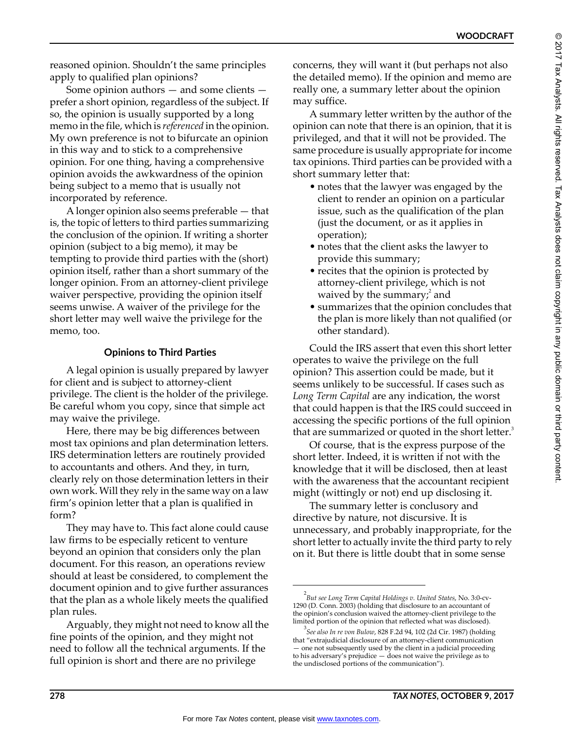reasoned opinion. Shouldn't the same principles apply to qualified plan opinions?

Some opinion authors — and some clients prefer a short opinion, regardless of the subject. If so, the opinion is usually supported by a long memo in the file, which is *referenced* in the opinion. My own preference is not to bifurcate an opinion in this way and to stick to a comprehensive opinion. For one thing, having a comprehensive opinion avoids the awkwardness of the opinion being subject to a memo that is usually not incorporated by reference.

A longer opinion also seems preferable — that is, the topic of letters to third parties summarizing the conclusion of the opinion. If writing a shorter opinion (subject to a big memo), it may be tempting to provide third parties with the (short) opinion itself, rather than a short summary of the longer opinion. From an attorney-client privilege waiver perspective, providing the opinion itself seems unwise. A waiver of the privilege for the short letter may well waive the privilege for the memo, too.

### **Opinions to Third Parties**

A legal opinion is usually prepared by lawyer for client and is subject to attorney-client privilege. The client is the holder of the privilege. Be careful whom you copy, since that simple act may waive the privilege.

Here, there may be big differences between most tax opinions and plan determination letters. IRS determination letters are routinely provided to accountants and others. And they, in turn, clearly rely on those determination letters in their own work. Will they rely in the same way on a law firm's opinion letter that a plan is qualified in form?

They may have to. This fact alone could cause law firms to be especially reticent to venture beyond an opinion that considers only the plan document. For this reason, an operations review should at least be considered, to complement the document opinion and to give further assurances that the plan as a whole likely meets the qualified plan rules.

Arguably, they might not need to know all the fine points of the opinion, and they might not need to follow all the technical arguments. If the full opinion is short and there are no privilege

concerns, they will want it (but perhaps not also the detailed memo). If the opinion and memo are really one, a summary letter about the opinion may suffice.

A summary letter written by the author of the opinion can note that there is an opinion, that it is privileged, and that it will not be provided. The same procedure is usually appropriate for income tax opinions. Third parties can be provided with a short summary letter that:

- notes that the lawyer was engaged by the client to render an opinion on a particular issue, such as the qualification of the plan (just the document, or as it applies in operation);
- notes that the client asks the lawyer to provide this summary;
- recites that the opinion is protected by attorney-client privilege, which is not waived by the summary; $^2$  and
- summarizes that the opinion concludes that the plan is more likely than not qualified (or other standard).

Could the IRS assert that even this short letter operates to waive the privilege on the full opinion? This assertion could be made, but it seems unlikely to be successful. If cases such as *Long Term Capital* are any indication, the worst that could happen is that the IRS could succeed in accessing the specific portions of the full opinion that are summarized or quoted in the short letter.<sup>3</sup>

Of course, that is the express purpose of the short letter. Indeed, it is written if not with the knowledge that it will be disclosed, then at least with the awareness that the accountant recipient might (wittingly or not) end up disclosing it.

The summary letter is conclusory and directive by nature, not discursive. It is unnecessary, and probably inappropriate, for the short letter to actually invite the third party to rely on it. But there is little doubt that in some sense

<sup>2</sup> *But see Long Term Capital Holdings v. United States*, No. 3:0-cv-1290 (D. Conn. 2003) (holding that disclosure to an accountant of the opinion's conclusion waived the attorney-client privilege to the limited portion of the opinion that reflected what was disclosed).

<sup>3</sup> *See also In re von Bulow*, 828 F.2d 94, 102 (2d Cir. 1987) (holding that "extrajudicial disclosure of an attorney-client communication — one not subsequently used by the client in a judicial proceeding to his adversary's prejudice — does not waive the privilege as to the undisclosed portions of the communication").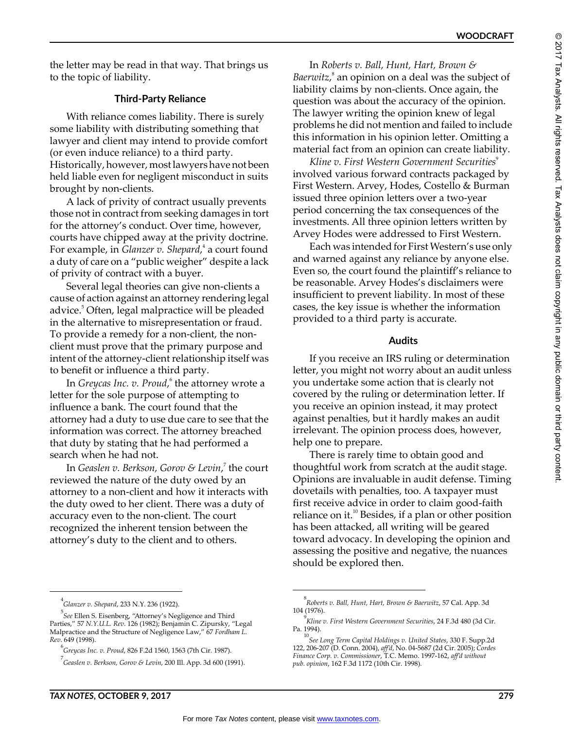the letter may be read in that way. That brings us to the topic of liability.

# **Third-Party Reliance**

With reliance comes liability. There is surely some liability with distributing something that lawyer and client may intend to provide comfort (or even induce reliance) to a third party. Historically, however, most lawyers have not been held liable even for negligent misconduct in suits brought by non-clients.

A lack of privity of contract usually prevents those not in contract from seeking damages in tort for the attorney's conduct. Over time, however, courts have chipped away at the privity doctrine. For example, in *Glanzer v. Shepard*,<sup>4</sup> a court found a duty of care on a "public weigher" despite a lack of privity of contract with a buyer.

Several legal theories can give non-clients a cause of action against an attorney rendering legal advice.<sup>5</sup> Often, legal malpractice will be pleaded in the alternative to misrepresentation or fraud. To provide a remedy for a non-client, the nonclient must prove that the primary purpose and intent of the attorney-client relationship itself was to benefit or influence a third party.

In *Greycas Inc. v. Proud,* <sup>6</sup> the attorney wrote a letter for the sole purpose of attempting to influence a bank. The court found that the attorney had a duty to use due care to see that the information was correct. The attorney breached that duty by stating that he had performed a search when he had not.

In *Geaslen v. Berkson, Gorov & Levin*, 7 the court reviewed the nature of the duty owed by an attorney to a non-client and how it interacts with the duty owed to her client. There was a duty of accuracy even to the non-client. The court recognized the inherent tension between the attorney's duty to the client and to others.

In *Roberts v. Ball, Hunt, Hart, Brown &*  Baerwitz,<sup>8</sup> an opinion on a deal was the subject of liability claims by non-clients. Once again, the question was about the accuracy of the opinion. The lawyer writing the opinion knew of legal problems he did not mention and failed to include this information in his opinion letter. Omitting a material fact from an opinion can create liability.

*Kline v. First Western Government Securities*<sup>9</sup> involved various forward contracts packaged by First Western. Arvey, Hodes, Costello & Burman issued three opinion letters over a two-year period concerning the tax consequences of the investments. All three opinion letters written by Arvey Hodes were addressed to First Western.

Each was intended for First Western's use only and warned against any reliance by anyone else. Even so, the court found the plaintiff's reliance to be reasonable. Arvey Hodes's disclaimers were insufficient to prevent liability. In most of these cases, the key issue is whether the information provided to a third party is accurate.

#### **Audits**

If you receive an IRS ruling or determination letter, you might not worry about an audit unless you undertake some action that is clearly not covered by the ruling or determination letter. If you receive an opinion instead, it may protect against penalties, but it hardly makes an audit irrelevant. The opinion process does, however, help one to prepare.

There is rarely time to obtain good and thoughtful work from scratch at the audit stage. Opinions are invaluable in audit defense. Timing dovetails with penalties, too. A taxpayer must first receive advice in order to claim good-faith reliance on it.<sup>10</sup> Besides, if a plan or other position has been attacked, all writing will be geared toward advocacy. In developing the opinion and assessing the positive and negative, the nuances should be explored then.

<sup>4</sup> *Glanzer v. Shepard*, 233 N.Y. 236 (1922).

<sup>5</sup> *See* Ellen S. Eisenberg, "Attorney's Negligence and Third Parties," 57 *N.Y.U.L. Rev*. 126 (1982); Benjamin C. Zipursky, "Legal Malpractice and the Structure of Negligence Law," 67 *Fordham L. Rev*. 649 (1998).

<sup>6</sup> *Greycas Inc. v. Proud*, 826 F.2d 1560, 1563 (7th Cir. 1987).

<sup>7</sup> *Geaslen v. Berkson, Gorov & Levin*, 200 Ill. App. 3d 600 (1991).

<sup>8</sup> *Roberts v. Ball, Hunt, Hart, Brown & Baerwitz*, 57 Cal. App. 3d 104 (1976).

<sup>9</sup> *Kline v. First Western Government Securities*, 24 F.3d 480 (3d Cir. Pa. 1994).

<sup>10</sup> *See Long Term Capital Holdings v. United States*, 330 F. Supp.2d 122, 206-207 (D. Conn. 2004), *aff'd*, No. 04-5687 (2d Cir. 2005); *Cordes Finance Corp. v. Commissioner*, T.C. Memo. 1997-162, *aff'd without pub. opinion*, 162 F.3d 1172 (10th Cir. 1998).